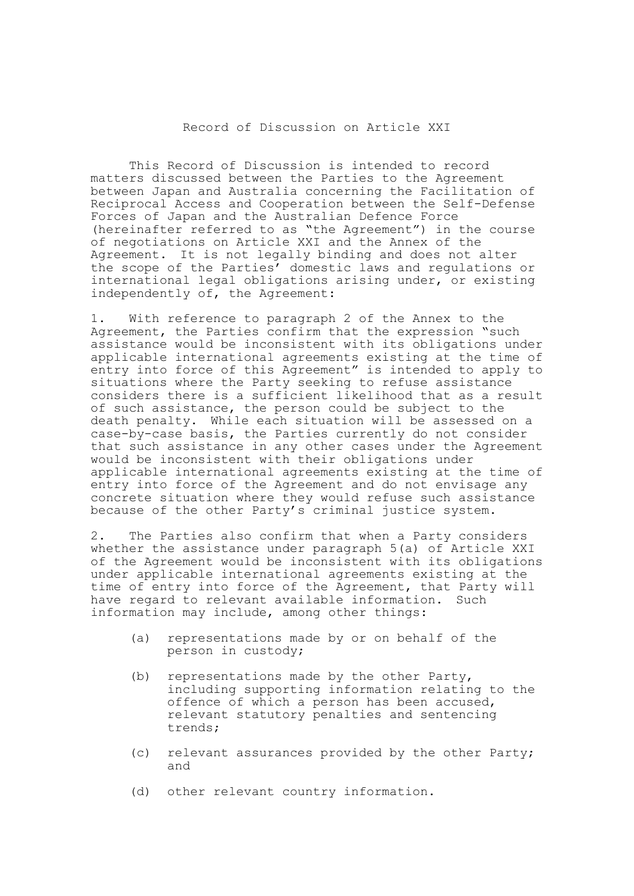## Record of Discussion on Article XXI

This Record of Discussion is intended to record matters discussed between the Parties to the Agreement between Japan and Australia concerning the Facilitation of Reciprocal Access and Cooperation between the Self-Defense Forces of Japan and the Australian Defence Force (hereinafter referred to as "the Agreement") in the course of negotiations on Article XXI and the Annex of the Agreement. It is not legally binding and does not alter the scope of the Parties' domestic laws and regulations or international legal obligations arising under, or existing independently of, the Agreement:

1. With reference to paragraph 2 of the Annex to the Agreement, the Parties confirm that the expression "such assistance would be inconsistent with its obligations under applicable international agreements existing at the time of entry into force of this Agreement" is intended to apply to situations where the Party seeking to refuse assistance considers there is a sufficient likelihood that as a result of such assistance, the person could be subject to the death penalty. While each situation will be assessed on a case-by-case basis, the Parties currently do not consider that such assistance in any other cases under the Agreement would be inconsistent with their obligations under applicable international agreements existing at the time of entry into force of the Agreement and do not envisage any concrete situation where they would refuse such assistance because of the other Party's criminal justice system.

2. The Parties also confirm that when a Party considers whether the assistance under paragraph 5(a) of Article XXI of the Agreement would be inconsistent with its obligations under applicable international agreements existing at the time of entry into force of the Agreement, that Party will have regard to relevant available information. Such information may include, among other things:

- (a) representations made by or on behalf of the person in custody;
- (b) representations made by the other Party, including supporting information relating to the offence of which a person has been accused, relevant statutory penalties and sentencing trends;
- (c) relevant assurances provided by the other Party; and
- (d) other relevant country information.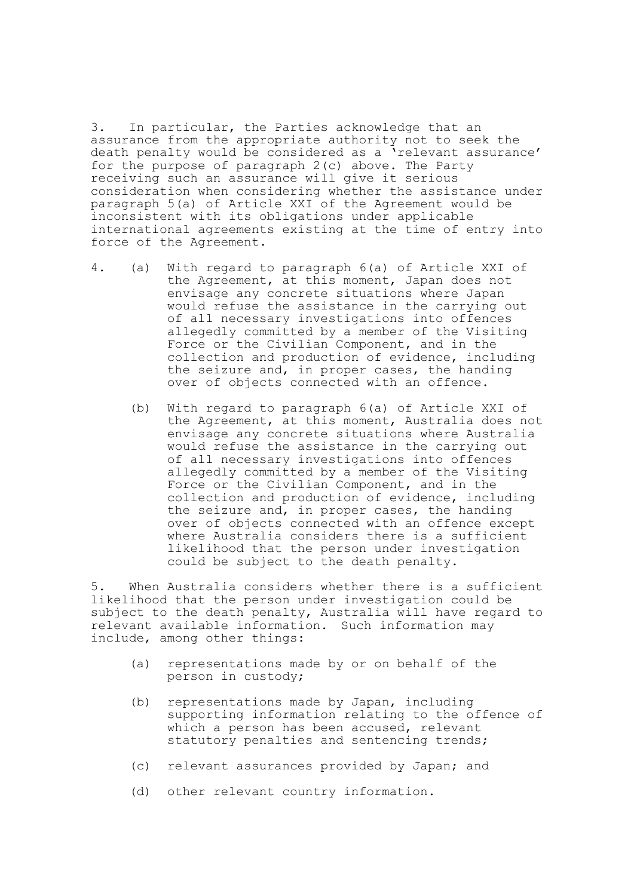3. In particular, the Parties acknowledge that an assurance from the appropriate authority not to seek the death penalty would be considered as a 'relevant assurance' for the purpose of paragraph 2(c) above. The Party receiving such an assurance will give it serious consideration when considering whether the assistance under paragraph 5(a) of Article XXI of the Agreement would be inconsistent with its obligations under applicable international agreements existing at the time of entry into force of the Agreement.

- 4. (a) With regard to paragraph 6(a) of Article XXI of the Agreement, at this moment, Japan does not envisage any concrete situations where Japan would refuse the assistance in the carrying out of all necessary investigations into offences allegedly committed by a member of the Visiting Force or the Civilian Component, and in the collection and production of evidence, including the seizure and, in proper cases, the handing over of objects connected with an offence.
	- (b) With regard to paragraph 6(a) of Article XXI of the Agreement, at this moment, Australia does not envisage any concrete situations where Australia would refuse the assistance in the carrying out of all necessary investigations into offences allegedly committed by a member of the Visiting Force or the Civilian Component, and in the collection and production of evidence, including the seizure and, in proper cases, the handing over of objects connected with an offence except where Australia considers there is a sufficient likelihood that the person under investigation could be subject to the death penalty.

5. When Australia considers whether there is a sufficient likelihood that the person under investigation could be subject to the death penalty, Australia will have regard to relevant available information. Such information may include, among other things:

- (a) representations made by or on behalf of the person in custody;
- (b) representations made by Japan, including supporting information relating to the offence of which a person has been accused, relevant statutory penalties and sentencing trends;
- (c) relevant assurances provided by Japan; and
- (d) other relevant country information.